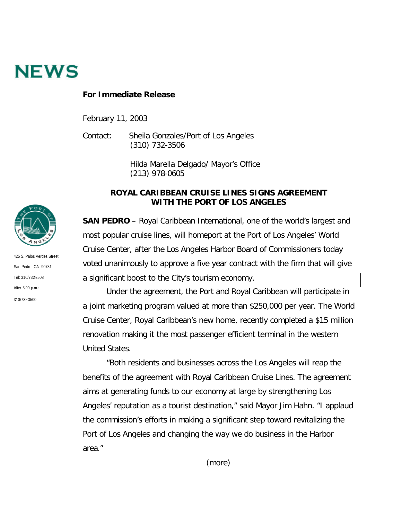

## **For Immediate Release**

February 11, 2003

Contact: Sheila Gonzales/Port of Los Angeles (310) 732-3506

> Hilda Marella Delgado/ Mayor's Office (213) 978-0605

## **ROYAL CARIBBEAN CRUISE LINES SIGNS AGREEMENT WITH THE PORT OF LOS ANGELES**

**SAN PEDRO** – Royal Caribbean International, one of the world's largest and most popular cruise lines, will homeport at the Port of Los Angeles' World Cruise Center, after the Los Angeles Harbor Board of Commissioners today voted unanimously to approve a five year contract with the firm that will give a significant boost to the City's tourism economy.

Under the agreement, the Port and Royal Caribbean will participate in a joint marketing program valued at more than \$250,000 per year. The World Cruise Center, Royal Caribbean's new home, recently completed a \$15 million renovation making it the most passenger efficient terminal in the western United States.

"Both residents and businesses across the Los Angeles will reap the benefits of the agreement with Royal Caribbean Cruise Lines. The agreement aims at generating funds to our economy at large by strengthening Los Angeles' reputation as a tourist destination," said Mayor Jim Hahn. "I applaud the commission's efforts in making a significant step toward revitalizing the Port of Los Angeles and changing the way we do business in the Harbor area."



425 S. Palos Verdes Street San Pedro, CA 90731 Tel: 310/732-3508 After  $5:00 \text{ n.m.}$ 310/732-3500

(more)